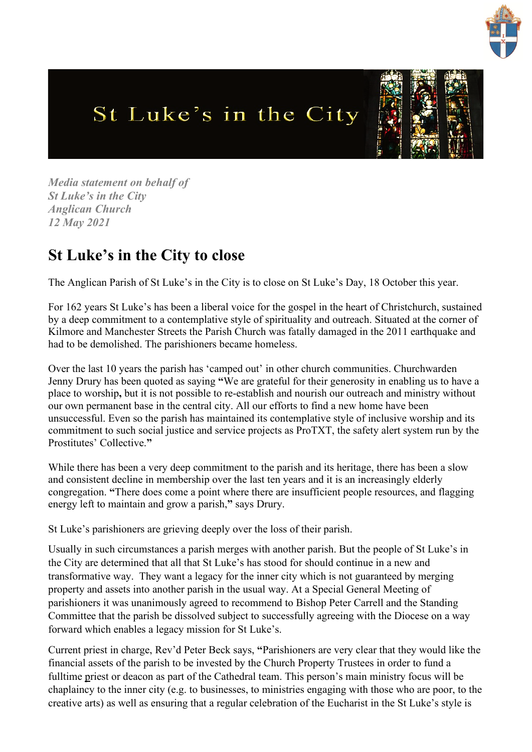

## St Luke's in the City



*Media statement on behalf of St Luke's in the City Anglican Church 12 May 2021*

## **St Luke's in the City to close**

The Anglican Parish of St Luke's in the City is to close on St Luke's Day, 18 October this year.

For 162 years St Luke's has been a liberal voice for the gospel in the heart of Christchurch, sustained by a deep commitment to a contemplative style of spirituality and outreach. Situated at the corner of Kilmore and Manchester Streets the Parish Church was fatally damaged in the 2011 earthquake and had to be demolished. The parishioners became homeless.

Over the last 10 years the parish has 'camped out' in other church communities. Churchwarden Jenny Drury has been quoted as saying **"**We are grateful for their generosity in enabling us to have a place to worship**,** but it is not possible to re-establish and nourish our outreach and ministry without our own permanent base in the central city. All our efforts to find a new home have been unsuccessful. Even so the parish has maintained its contemplative style of inclusive worship and its commitment to such social justice and service projects as ProTXT, the safety alert system run by the Prostitutes' Collective.**"** 

While there has been a very deep commitment to the parish and its heritage, there has been a slow and consistent decline in membership over the last ten years and it is an increasingly elderly congregation. **"**There does come a point where there are insufficient people resources, and flagging energy left to maintain and grow a parish,**"** says Drury.

St Luke's parishioners are grieving deeply over the loss of their parish.

Usually in such circumstances a parish merges with another parish. But the people of St Luke's in the City are determined that all that St Luke's has stood for should continue in a new and transformative way. They want a legacy for the inner city which is not guaranteed by merging property and assets into another parish in the usual way. At a Special General Meeting of parishioners it was unanimously agreed to recommend to Bishop Peter Carrell and the Standing Committee that the parish be dissolved subject to successfully agreeing with the Diocese on a way forward which enables a legacy mission for St Luke's.

Current priest in charge, Rev'd Peter Beck says, **"**Parishioners are very clear that they would like the financial assets of the parish to be invested by the Church Property Trustees in order to fund a fulltime priest or deacon as part of the Cathedral team. This person's main ministry focus will be chaplaincy to the inner city (e.g. to businesses, to ministries engaging with those who are poor, to the creative arts) as well as ensuring that a regular celebration of the Eucharist in the St Luke's style is